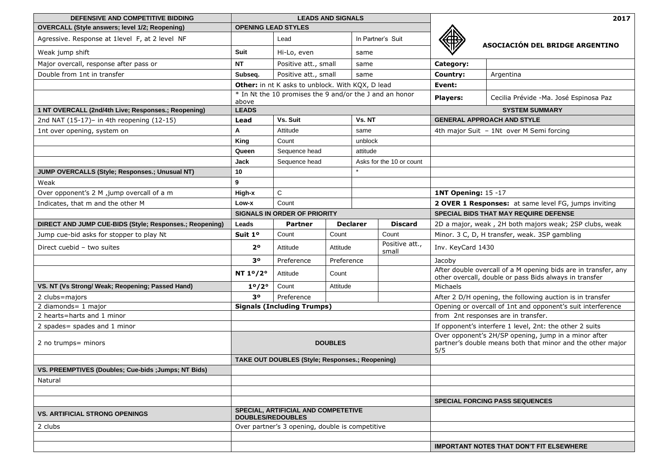| DEFENSIVE AND COMPETITIVE BIDDING                       | <b>LEADS AND SIGNALS</b>                                         |                                                     |                                      |                                                        |                                                      | 2017                                                                                                                      |                                                 |  |
|---------------------------------------------------------|------------------------------------------------------------------|-----------------------------------------------------|--------------------------------------|--------------------------------------------------------|------------------------------------------------------|---------------------------------------------------------------------------------------------------------------------------|-------------------------------------------------|--|
| <b>OVERCALL (Style answers; level 1/2; Reopening)</b>   | <b>OPENING LEAD STYLES</b>                                       |                                                     |                                      |                                                        |                                                      |                                                                                                                           |                                                 |  |
| Agressive. Response at 1level F, at 2 level NF          |                                                                  | Lead                                                |                                      | In Partner's Suit                                      |                                                      |                                                                                                                           | ASOCIACIÓN DEL BRIDGE ARGENTINO                 |  |
| Weak jump shift                                         | Suit                                                             | Hi-Lo, even                                         | same                                 |                                                        |                                                      |                                                                                                                           |                                                 |  |
| Major overcall, response after pass or                  | <b>NT</b>                                                        | Positive att., small                                |                                      | same                                                   |                                                      | Category:                                                                                                                 |                                                 |  |
| Double from 1nt in transfer                             | Subseq.                                                          | Positive att., small                                |                                      | same                                                   |                                                      | Country:                                                                                                                  | Argentina                                       |  |
|                                                         |                                                                  | Other: in nt K asks to unblock. With KQX, D lead    |                                      |                                                        |                                                      | Event:                                                                                                                    |                                                 |  |
|                                                         | * In Nt the 10 promises the 9 and/or the J and an honor<br>above |                                                     |                                      |                                                        |                                                      | <b>Players:</b>                                                                                                           | Cecilia Prévide -Ma. José Espinosa Paz          |  |
| 1 NT OVERCALL (2nd/4th Live; Responses.; Reopening)     | <b>LEADS</b>                                                     |                                                     |                                      |                                                        |                                                      | <b>SYSTEM SUMMARY</b>                                                                                                     |                                                 |  |
| 2nd NAT (15-17)- in 4th reopening (12-15)               | Lead                                                             | Vs. Suit                                            |                                      | Vs. NT                                                 |                                                      | <b>GENERAL APPROACH AND STYLE</b>                                                                                         |                                                 |  |
| 1nt over opening, system on                             | A                                                                | Attitude                                            |                                      | same                                                   |                                                      | 4th major Suit - 1Nt over M Semi forcing                                                                                  |                                                 |  |
|                                                         | King                                                             | Count                                               | unblock                              |                                                        |                                                      |                                                                                                                           |                                                 |  |
|                                                         | Queen                                                            | Sequence head                                       | attitude                             |                                                        |                                                      |                                                                                                                           |                                                 |  |
|                                                         | Jack                                                             | Sequence head                                       |                                      |                                                        | Asks for the 10 or count                             |                                                                                                                           |                                                 |  |
| JUMP OVERCALLS (Style; Responses.; Unusual NT)          | 10                                                               |                                                     |                                      |                                                        |                                                      |                                                                                                                           |                                                 |  |
| Weak                                                    | 9                                                                |                                                     |                                      |                                                        |                                                      |                                                                                                                           |                                                 |  |
| Over opponent's 2 M ,jump overcall of a m               | High-x                                                           | C                                                   |                                      |                                                        |                                                      | <b>1NT Opening: 15 -17</b>                                                                                                |                                                 |  |
| Indicates, that m and the other M                       | Low-x                                                            | Count                                               |                                      |                                                        | 2 OVER 1 Responses: at same level FG, jumps inviting |                                                                                                                           |                                                 |  |
|                                                         |                                                                  | <b>SIGNALS IN ORDER OF PRIORITY</b>                 |                                      |                                                        | <b>SPECIAL BIDS THAT MAY REQUIRE DEFENSE</b>         |                                                                                                                           |                                                 |  |
| DIRECT AND JUMP CUE-BIDS (Style; Responses.; Reopening) | Leads                                                            | <b>Declarer</b><br><b>Discard</b><br><b>Partner</b> |                                      | 2D a major, weak, 2H both majors weak; 2SP clubs, weak |                                                      |                                                                                                                           |                                                 |  |
| Jump cue-bid asks for stopper to play Nt                | Suit 1º                                                          | Count                                               | Count                                |                                                        | Count                                                | Minor. 3 C, D, H transfer, weak. 3SP gambling                                                                             |                                                 |  |
| Direct cuebid - two suites                              | 2 <sup>o</sup>                                                   | Attitude                                            | Attitude<br>Preference<br>Preference |                                                        | Positive att.,<br>small                              | Inv. KeyCard 1430                                                                                                         |                                                 |  |
|                                                         | З٥                                                               |                                                     |                                      |                                                        |                                                      | Jacoby                                                                                                                    |                                                 |  |
|                                                         | NT 1 <sup>o</sup> /2°                                            | Count<br>Attitude                                   |                                      |                                                        |                                                      | After double overcall of a M opening bids are in transfer, any<br>other overcall, double or pass Bids always in transfer  |                                                 |  |
| VS. NT (Vs Strong/ Weak; Reopening; Passed Hand)        | $1^{\circ}/2^{\circ}$                                            | Count                                               | Attitude                             |                                                        |                                                      | Michaels                                                                                                                  |                                                 |  |
| 2 clubs=majors                                          | 30                                                               | Preference                                          |                                      |                                                        |                                                      | After 2 D/H opening, the following auction is in transfer                                                                 |                                                 |  |
| 2 diamonds= 1 major                                     | <b>Signals (Including Trumps)</b>                                |                                                     |                                      |                                                        |                                                      | Opening or overcall of 1nt and opponent's suit interference                                                               |                                                 |  |
| 2 hearts=harts and 1 minor                              |                                                                  |                                                     |                                      |                                                        |                                                      |                                                                                                                           | from 2nt responses are in transfer.             |  |
| 2 spades = spades and 1 minor                           |                                                                  |                                                     |                                      |                                                        |                                                      | If opponent's interfere 1 level, 2nt: the other 2 suits                                                                   |                                                 |  |
| 2 no trumps = minors                                    | <b>DOUBLES</b>                                                   |                                                     |                                      |                                                        |                                                      | Over opponent's 2H/SP opening, jump in a minor after<br>partner's double means both that minor and the other major<br>5/5 |                                                 |  |
|                                                         | TAKE OUT DOUBLES (Style; Responses.; Reopening)                  |                                                     |                                      |                                                        |                                                      |                                                                                                                           |                                                 |  |
| VS. PREEMPTIVES (Doubles; Cue-bids ; Jumps; NT Bids)    |                                                                  |                                                     |                                      |                                                        |                                                      |                                                                                                                           |                                                 |  |
| Natural                                                 |                                                                  |                                                     |                                      |                                                        |                                                      |                                                                                                                           |                                                 |  |
|                                                         |                                                                  |                                                     |                                      |                                                        |                                                      |                                                                                                                           |                                                 |  |
|                                                         |                                                                  |                                                     |                                      |                                                        |                                                      |                                                                                                                           | <b>SPECIAL FORCING PASS SEQUENCES</b>           |  |
| <b>VS. ARTIFICIAL STRONG OPENINGS</b>                   | SPECIAL, ARTIFICIAL AND COMPETETIVE<br><b>DOUBLES/REDOUBLES</b>  |                                                     |                                      |                                                        |                                                      |                                                                                                                           |                                                 |  |
| 2 clubs                                                 | Over partner's 3 opening, double is competitive                  |                                                     |                                      |                                                        |                                                      |                                                                                                                           |                                                 |  |
|                                                         |                                                                  |                                                     |                                      |                                                        |                                                      |                                                                                                                           |                                                 |  |
|                                                         |                                                                  |                                                     |                                      |                                                        |                                                      |                                                                                                                           | <b>IMPORTANT NOTES THAT DON'T FIT ELSEWHERE</b> |  |